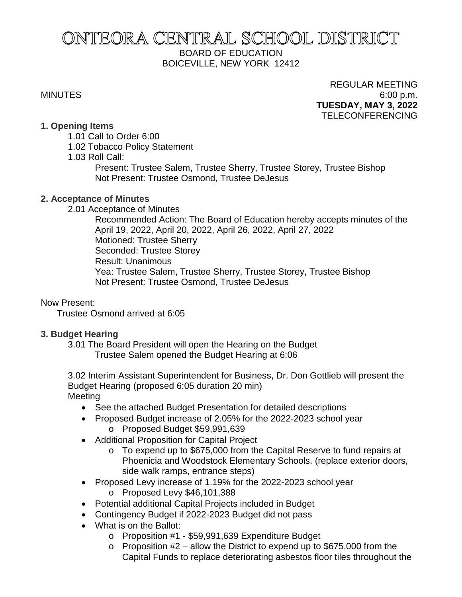# ONTEORA CENTRAL SCHOOL DISTRICT BOARD OF EDUCATION BOICEVILLE, NEW YORK 12412

# REGULAR MEETING MINUTES 6:00 p.m. **TUESDAY, MAY 3, 2022** TELECONFERENCING

#### **1. Opening Items**

- 1.01 Call to Order 6:00
- 1.02 Tobacco Policy Statement

1.03 Roll Call:

Present: Trustee Salem, Trustee Sherry, Trustee Storey, Trustee Bishop Not Present: Trustee Osmond, Trustee DeJesus

# **2. Acceptance of Minutes**

2.01 Acceptance of Minutes

Recommended Action: The Board of Education hereby accepts minutes of the April 19, 2022, April 20, 2022, April 26, 2022, April 27, 2022 Motioned: Trustee Sherry Seconded: Trustee Storey Result: Unanimous Yea: Trustee Salem, Trustee Sherry, Trustee Storey, Trustee Bishop Not Present: Trustee Osmond, Trustee DeJesus

# Now Present:

Trustee Osmond arrived at 6:05

# **3. Budget Hearing**

3.01 The Board President will open the Hearing on the Budget Trustee Salem opened the Budget Hearing at 6:06

3.02 Interim Assistant Superintendent for Business, Dr. Don Gottlieb will present the Budget Hearing (proposed 6:05 duration 20 min) Meeting

- See the attached Budget Presentation for detailed descriptions
- Proposed Budget increase of 2.05% for the 2022-2023 school year o Proposed Budget \$59,991,639
- Additional Proposition for Capital Project
	- o To expend up to \$675,000 from the Capital Reserve to fund repairs at Phoenicia and Woodstock Elementary Schools. (replace exterior doors, side walk ramps, entrance steps)
- Proposed Levy increase of 1.19% for the 2022-2023 school year
	- o Proposed Levy \$46,101,388
- Potential additional Capital Projects included in Budget
- Contingency Budget if 2022-2023 Budget did not pass
- What is on the Ballot:
	- o Proposition #1 \$59,991,639 Expenditure Budget
	- $\circ$  Proposition #2 allow the District to expend up to \$675,000 from the Capital Funds to replace deteriorating asbestos floor tiles throughout the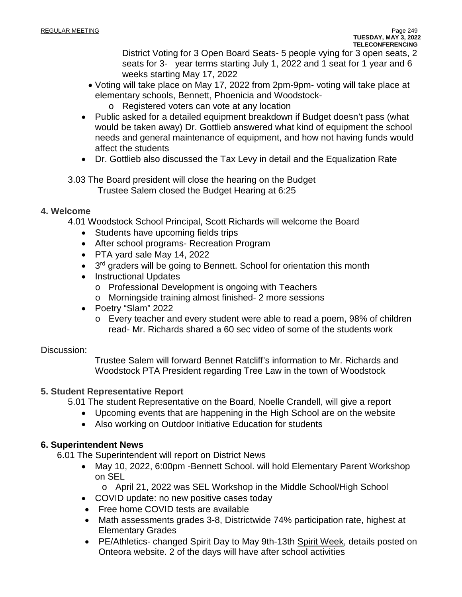District Voting for 3 Open Board Seats- 5 people vying for 3 open seats, 2 seats for 3- year terms starting July 1, 2022 and 1 seat for 1 year and 6 weeks starting May 17, 2022

- Voting will take place on May 17, 2022 from 2pm-9pm- voting will take place at elementary schools, Bennett, Phoenicia and Woodstock
	- o Registered voters can vote at any location
- Public asked for a detailed equipment breakdown if Budget doesn't pass (what would be taken away) Dr. Gottlieb answered what kind of equipment the school needs and general maintenance of equipment, and how not having funds would affect the students
- Dr. Gottlieb also discussed the Tax Levy in detail and the Equalization Rate

3.03 The Board president will close the hearing on the Budget Trustee Salem closed the Budget Hearing at 6:25

#### **4. Welcome**

4.01 Woodstock School Principal, Scott Richards will welcome the Board

- Students have upcoming fields trips
- After school programs- Recreation Program
- PTA yard sale May 14, 2022
- 3<sup>rd</sup> graders will be going to Bennett. School for orientation this month
- Instructional Updates
	- o Professional Development is ongoing with Teachers
	- o Morningside training almost finished- 2 more sessions
- Poetry "Slam" 2022
	- o Every teacher and every student were able to read a poem, 98% of children read- Mr. Richards shared a 60 sec video of some of the students work

#### Discussion:

Trustee Salem will forward Bennet Ratcliff's information to Mr. Richards and Woodstock PTA President regarding Tree Law in the town of Woodstock

#### **5. Student Representative Report**

5.01 The student Representative on the Board, Noelle Crandell, will give a report

- Upcoming events that are happening in the High School are on the website
- Also working on Outdoor Initiative Education for students

#### **6. Superintendent News**

6.01 The Superintendent will report on District News

- May 10, 2022, 6:00pm Bennett School. will hold Elementary Parent Workshop on SEL
	- o April 21, 2022 was SEL Workshop in the Middle School/High School
- COVID update: no new positive cases today
- Free home COVID tests are available
- Math assessments grades 3-8, Districtwide 74% participation rate, highest at Elementary Grades
- PE/Athletics- changed Spirit Day to May 9th-13th Spirit Week, details posted on Onteora website. 2 of the days will have after school activities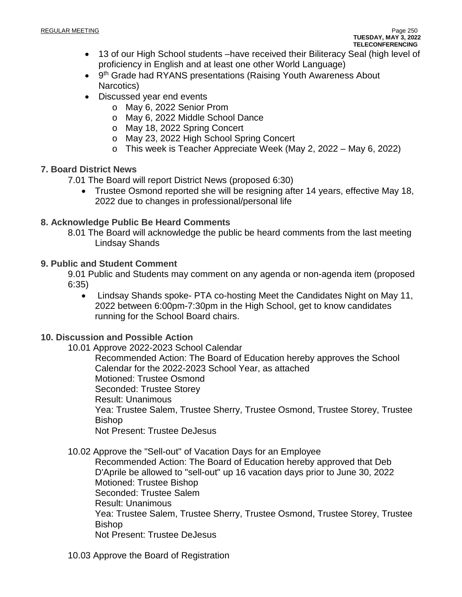- 13 of our High School students –have received their Biliteracy Seal (high level of proficiency in English and at least one other World Language)
- 9<sup>th</sup> Grade had RYANS presentations (Raising Youth Awareness About Narcotics)
- Discussed year end events
	- o May 6, 2022 Senior Prom
	- o May 6, 2022 Middle School Dance
	- o May 18, 2022 Spring Concert
	- o May 23, 2022 High School Spring Concert
	- o This week is Teacher Appreciate Week (May 2, 2022 May 6, 2022)

# **7. Board District News**

7.01 The Board will report District News (proposed 6:30)

• Trustee Osmond reported she will be resigning after 14 years, effective May 18, 2022 due to changes in professional/personal life

# **8. Acknowledge Public Be Heard Comments**

8.01 The Board will acknowledge the public be heard comments from the last meeting Lindsay Shands

# **9. Public and Student Comment**

9.01 Public and Students may comment on any agenda or non-agenda item (proposed 6:35)

• Lindsay Shands spoke- PTA co-hosting Meet the Candidates Night on May 11, 2022 between 6:00pm-7:30pm in the High School, get to know candidates running for the School Board chairs.

# **10. Discussion and Possible Action**

10.01 Approve 2022-2023 School Calendar

Recommended Action: The Board of Education hereby approves the School Calendar for the 2022-2023 School Year, as attached Motioned: Trustee Osmond Seconded: Trustee Storey Result: Unanimous Yea: Trustee Salem, Trustee Sherry, Trustee Osmond, Trustee Storey, Trustee Bishop Not Present: Trustee DeJesus

10.02 Approve the "Sell-out" of Vacation Days for an Employee

Recommended Action: The Board of Education hereby approved that Deb D'Aprile be allowed to "sell-out" up 16 vacation days prior to June 30, 2022 Motioned: Trustee Bishop Seconded: Trustee Salem Result: Unanimous Yea: Trustee Salem, Trustee Sherry, Trustee Osmond, Trustee Storey, Trustee Bishop Not Present: Trustee DeJesus

10.03 Approve the Board of Registration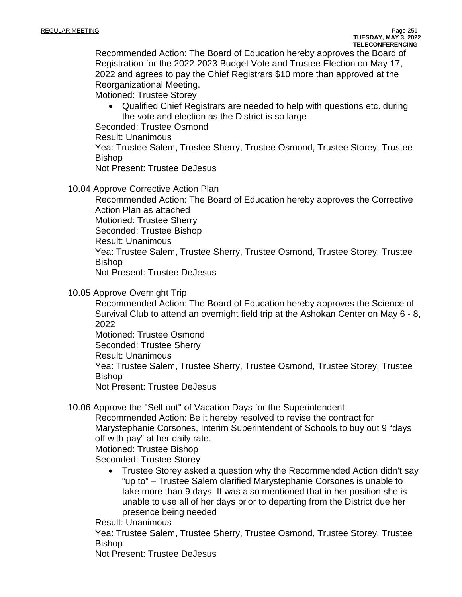Recommended Action: The Board of Education hereby approves the Board of Registration for the 2022-2023 Budget Vote and Trustee Election on May 17, 2022 and agrees to pay the Chief Registrars \$10 more than approved at the Reorganizational Meeting.

Motioned: Trustee Storey

• Qualified Chief Registrars are needed to help with questions etc. during the vote and election as the District is so large

Seconded: Trustee Osmond

Result: Unanimous

Yea: Trustee Salem, Trustee Sherry, Trustee Osmond, Trustee Storey, Trustee Bishop

Not Present: Trustee DeJesus

10.04 Approve Corrective Action Plan

Recommended Action: The Board of Education hereby approves the Corrective Action Plan as attached

Motioned: Trustee Sherry

Seconded: Trustee Bishop

Result: Unanimous

Yea: Trustee Salem, Trustee Sherry, Trustee Osmond, Trustee Storey, Trustee Bishop

Not Present: Trustee DeJesus

#### 10.05 Approve Overnight Trip

Recommended Action: The Board of Education hereby approves the Science of Survival Club to attend an overnight field trip at the Ashokan Center on May 6 - 8, 2022

Motioned: Trustee Osmond

Seconded: Trustee Sherry

Result: Unanimous

Yea: Trustee Salem, Trustee Sherry, Trustee Osmond, Trustee Storey, Trustee Bishop

Not Present: Trustee DeJesus

10.06 Approve the "Sell-out" of Vacation Days for the Superintendent

Recommended Action: Be it hereby resolved to revise the contract for Marystephanie Corsones, Interim Superintendent of Schools to buy out 9 "days off with pay" at her daily rate.

Motioned: Trustee Bishop

Seconded: Trustee Storey

• Trustee Storey asked a question why the Recommended Action didn't say "up to" – Trustee Salem clarified Marystephanie Corsones is unable to take more than 9 days. It was also mentioned that in her position she is unable to use all of her days prior to departing from the District due her presence being needed

Result: Unanimous

Yea: Trustee Salem, Trustee Sherry, Trustee Osmond, Trustee Storey, Trustee Bishop

Not Present: Trustee DeJesus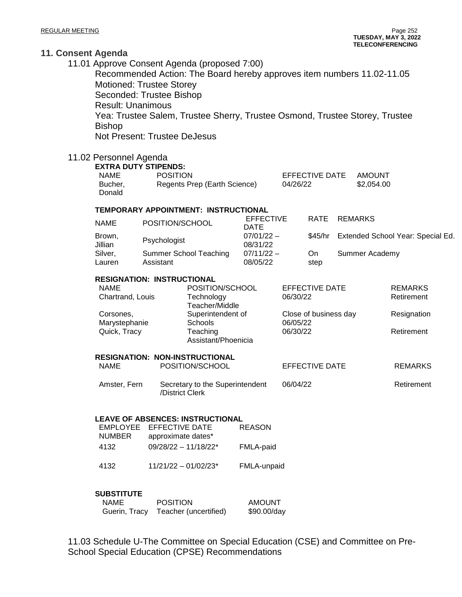|                   | nsent Agenda<br><b>Motioned: Trustee Storey</b><br>Seconded: Trustee Bishop<br><b>Result: Unanimous</b><br><b>Bishop</b><br><b>Not Present: Trustee DeJesus</b><br>11.02 Personnel Agenda<br><b>EXTRA DUTY STIPENDS:</b> |                                     | 11.01 Approve Consent Agenda (proposed 7:00)<br>Recommended Action: The Board hereby approves item numbers 11.02-11.05<br>Yea: Trustee Salem, Trustee Sherry, Trustee Osmond, Trustee Storey, Trustee |                                 |                                                                                    |                       |                |                                   |                                                           |  |
|-------------------|--------------------------------------------------------------------------------------------------------------------------------------------------------------------------------------------------------------------------|-------------------------------------|-------------------------------------------------------------------------------------------------------------------------------------------------------------------------------------------------------|---------------------------------|------------------------------------------------------------------------------------|-----------------------|----------------|-----------------------------------|-----------------------------------------------------------|--|
|                   | <b>NAME</b><br>Bucher,<br>Donald                                                                                                                                                                                         | <b>POSITION</b>                     | Regents Prep (Earth Science)                                                                                                                                                                          |                                 | <b>EFFECTIVE DATE</b><br>04/26/22                                                  |                       |                | <b>AMOUNT</b><br>\$2,054.00       |                                                           |  |
|                   | TEMPORARY APPOINTMENT: INSTRUCTIONAL                                                                                                                                                                                     |                                     |                                                                                                                                                                                                       |                                 |                                                                                    |                       |                |                                   |                                                           |  |
|                   | <b>NAME</b>                                                                                                                                                                                                              | POSITION/SCHOOL                     |                                                                                                                                                                                                       | <b>EFFECTIVE</b><br><b>DATE</b> |                                                                                    | <b>RATE</b>           | <b>REMARKS</b> |                                   |                                                           |  |
| Brown,<br>Jillian |                                                                                                                                                                                                                          | Psychologist                        |                                                                                                                                                                                                       | $07/01/22 -$<br>08/31/22        |                                                                                    | \$45/hr               |                | Extended School Year: Special Ed. |                                                           |  |
|                   | Silver,<br>Lauren                                                                                                                                                                                                        | Summer School Teaching<br>Assistant |                                                                                                                                                                                                       | $07/11/22 -$<br>08/05/22        |                                                                                    | On.<br>step           | Summer Academy |                                   |                                                           |  |
|                   | <b>RESIGNATION: INSTRUCTIONAL</b><br><b>NAME</b><br>Chartrand, Louis<br>Corsones,<br>Marystephanie<br>Quick, Tracy                                                                                                       |                                     | POSITION/SCHOOL<br>Technology<br>Teacher/Middle<br>Superintendent of<br>Schools<br>Teaching<br>Assistant/Phoenicia                                                                                    |                                 | <b>EFFECTIVE DATE</b><br>06/30/22<br>Close of business day<br>06/05/22<br>06/30/22 |                       |                |                                   | <b>REMARKS</b><br>Retirement<br>Resignation<br>Retirement |  |
|                   | <b>NAME</b>                                                                                                                                                                                                              |                                     | <b>RESIGNATION: NON-INSTRUCTIONAL</b><br>POSITION/SCHOOL                                                                                                                                              |                                 |                                                                                    | <b>EFFECTIVE DATE</b> |                |                                   | <b>REMARKS</b>                                            |  |
|                   | Amster, Fern                                                                                                                                                                                                             |                                     | Secretary to the Superintendent<br>/District Clerk                                                                                                                                                    |                                 | 06/04/22                                                                           |                       |                |                                   | Retirement                                                |  |
|                   | <b>LEAVE OF ABSENCES: INSTRUCTIONAL</b><br><b>EFFECTIVE DATE</b><br><b>EMPLOYEE</b><br><b>NUMBER</b><br>approximate dates*<br>$09/28/22 - 11/18/22$ *<br>4132                                                            |                                     |                                                                                                                                                                                                       | <b>REASON</b><br>FMLA-paid      |                                                                                    |                       |                |                                   |                                                           |  |
|                   | 4132                                                                                                                                                                                                                     |                                     | $11/21/22 - 01/02/23$ *<br>FMLA-unpaid                                                                                                                                                                |                                 |                                                                                    |                       |                |                                   |                                                           |  |
|                   | <b>SUBSTITUTE</b><br><b>NAME</b><br>Guerin, Tracy                                                                                                                                                                        | <b>POSITION</b>                     | Teacher (uncertified)                                                                                                                                                                                 | <b>AMOUNT</b><br>\$90.00/day    |                                                                                    |                       |                |                                   |                                                           |  |

11.03 Schedule U-The Committee on Special Education (CSE) and Committee on Pre-School Special Education (CPSE) Recommendations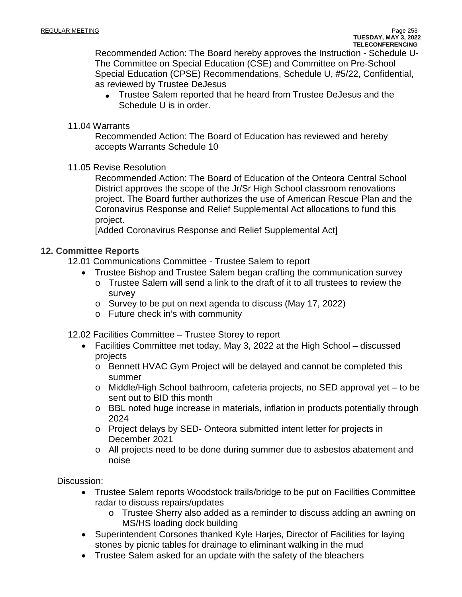Recommended Action: The Board hereby approves the Instruction - Schedule U-The Committee on Special Education (CSE) and Committee on Pre-School Special Education (CPSE) Recommendations, Schedule U, #5/22, Confidential, as reviewed by Trustee DeJesus

• Trustee Salem reported that he heard from Trustee DeJesus and the Schedule U is in order.

#### 11.04 Warrants

Recommended Action: The Board of Education has reviewed and hereby accepts Warrants Schedule 10

11.05 Revise Resolution

Recommended Action: The Board of Education of the Onteora Central School District approves the scope of the Jr/Sr High School classroom renovations project. The Board further authorizes the use of American Rescue Plan and the Coronavirus Response and Relief Supplemental Act allocations to fund this project.

[Added Coronavirus Response and Relief Supplemental Act]

#### **12. Committee Reports**

- 12.01 Communications Committee Trustee Salem to report
	- Trustee Bishop and Trustee Salem began crafting the communication survey
		- $\circ$  Trustee Salem will send a link to the draft of it to all trustees to review the survey
			- o Survey to be put on next agenda to discuss (May 17, 2022)
			- o Future check in's with community
- 12.02 Facilities Committee Trustee Storey to report
	- Facilities Committee met today, May 3, 2022 at the High School discussed projects
		- o Bennett HVAC Gym Project will be delayed and cannot be completed this summer
		- o Middle/High School bathroom, cafeteria projects, no SED approval yet to be sent out to BID this month
		- o BBL noted huge increase in materials, inflation in products potentially through 2024
		- o Project delays by SED- Onteora submitted intent letter for projects in December 2021
		- o All projects need to be done during summer due to asbestos abatement and noise

Discussion:

- Trustee Salem reports Woodstock trails/bridge to be put on Facilities Committee radar to discuss repairs/updates
	- o Trustee Sherry also added as a reminder to discuss adding an awning on MS/HS loading dock building
- Superintendent Corsones thanked Kyle Harjes, Director of Facilities for laying stones by picnic tables for drainage to eliminant walking in the mud
- Trustee Salem asked for an update with the safety of the bleachers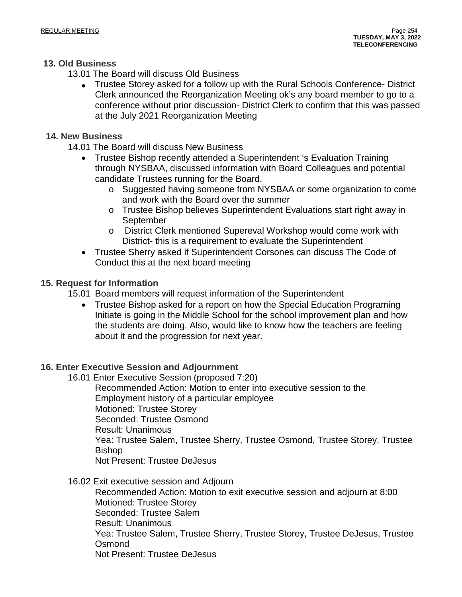#### **13. Old Business**

13.01 The Board will discuss Old Business

• Trustee Storey asked for a follow up with the Rural Schools Conference- District Clerk announced the Reorganization Meeting ok's any board member to go to a conference without prior discussion- District Clerk to confirm that this was passed at the July 2021 Reorganization Meeting

#### **14. New Business**

- 14.01 The Board will discuss New Business
	- Trustee Bishop recently attended a Superintendent 's Evaluation Training through NYSBAA, discussed information with Board Colleagues and potential candidate Trustees running for the Board.
		- o Suggested having someone from NYSBAA or some organization to come and work with the Board over the summer
		- o Trustee Bishop believes Superintendent Evaluations start right away in September
		- o District Clerk mentioned Supereval Workshop would come work with District- this is a requirement to evaluate the Superintendent
	- Trustee Sherry asked if Superintendent Corsones can discuss The Code of Conduct this at the next board meeting

# **15. Request for Information**

- 15.01 Board members will request information of the Superintendent
	- Trustee Bishop asked for a report on how the Special Education Programing Initiate is going in the Middle School for the school improvement plan and how the students are doing. Also, would like to know how the teachers are feeling about it and the progression for next year.

# **16. Enter Executive Session and Adjournment**

16.01 Enter Executive Session (proposed 7:20)

Recommended Action: Motion to enter into executive session to the Employment history of a particular employee Motioned: Trustee Storey Seconded: Trustee Osmond Result: Unanimous Yea: Trustee Salem, Trustee Sherry, Trustee Osmond, Trustee Storey, Trustee Bishop Not Present: Trustee DeJesus

16.02 Exit executive session and Adjourn

Recommended Action: Motion to exit executive session and adjourn at 8:00 Motioned: Trustee Storey Seconded: Trustee Salem Result: Unanimous Yea: Trustee Salem, Trustee Sherry, Trustee Storey, Trustee DeJesus, Trustee **Osmond** Not Present: Trustee DeJesus